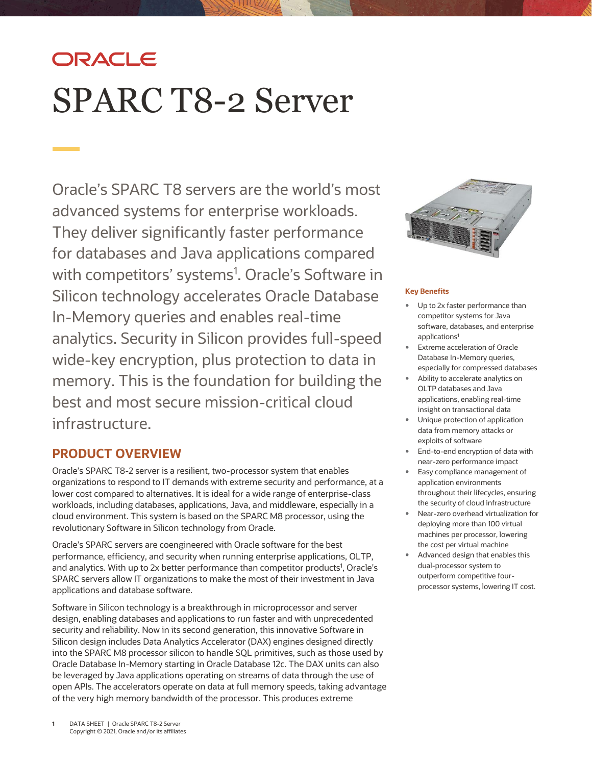# ORACLE SPARC T8-2 Server

Oracle's SPARC T8 servers are the world's most advanced systems for enterprise workloads. They deliver significantly faster performance for databases and Java applications compared with competitors' systems<sup>1</sup>. Oracle's Software in Silicon technology accelerates Oracle Database In-Memory queries and enables real-time analytics. Security in Silicon provides full-speed wide-key encryption, plus protection to data in memory. This is the foundation for building the best and most secure mission-critical cloud infrastructure.

# **PRODUCT OVERVIEW**

Oracle's SPARC T8-2 server is a resilient, two-processor system that enables organizations to respond to IT demands with extreme security and performance, at a lower cost compared to alternatives. It is ideal for a wide range of enterprise-class workloads, including databases, applications, Java, and middleware, especially in a cloud environment. This system is based on the SPARC M8 processor, using the revolutionary Software in Silicon technology from Oracle.

Oracle's SPARC servers are coengineered with Oracle software for the best performance, efficiency, and security when running enterprise applications, OLTP, and analytics. With up to 2x better performance than competitor products<sup>1</sup>, Oracle's SPARC servers allow IT organizations to make the most of their investment in Java applications and database software.

Software in Silicon technology is a breakthrough in microprocessor and server design, enabling databases and applications to run faster and with unprecedented security and reliability. Now in its second generation, this innovative Software in Silicon design includes Data Analytics Accelerator (DAX) engines designed directly into the SPARC M8 processor silicon to handle SQL primitives, such as those used by Oracle Database In-Memory starting in Oracle Database 12c. The DAX units can also be leveraged by Java applications operating on streams of data through the use of open APIs. The accelerators operate on data at full memory speeds, taking advantage of the very high memory bandwidth of the processor. This produces extreme



#### **Key Benefits**

- Up to 2x faster performance than competitor systems for Java software, databases, and enterprise applications<sup>1</sup>
- Extreme acceleration of Oracle Database In-Memory queries, especially for compressed databases
- Ability to accelerate analytics on OLTP databases and Java applications, enabling real-time insight on transactional data
- Unique protection of application data from memory attacks or exploits of software
- End-to-end encryption of data with near-zero performance impact
- Easy compliance management of application environments throughout their lifecycles, ensuring the security of cloud infrastructure
- Near-zero overhead virtualization for deploying more than 100 virtual machines per processor, lowering the cost per virtual machine
- Advanced design that enables this dual-processor system to outperform competitive fourprocessor systems, lowering IT cost.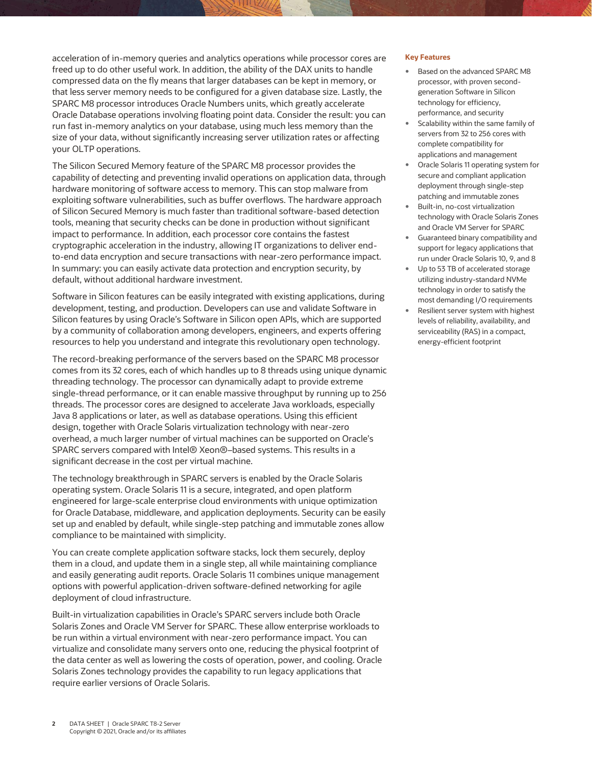acceleration of in-memory queries and analytics operations while processor cores are freed up to do other useful work. In addition, the ability of the DAX units to handle compressed data on the fly means that larger databases can be kept in memory, or that less server memory needs to be configured for a given database size. Lastly, the SPARC M8 processor introduces Oracle Numbers units, which greatly accelerate Oracle Database operations involving floating point data. Consider the result: you can run fast in-memory analytics on your database, using much less memory than the size of your data, without significantly increasing server utilization rates or affecting your OLTP operations.

The Silicon Secured Memory feature of the SPARC M8 processor provides the capability of detecting and preventing invalid operations on application data, through hardware monitoring of software access to memory. This can stop malware from exploiting software vulnerabilities, such as buffer overflows. The hardware approach of Silicon Secured Memory is much faster than traditional software-based detection tools, meaning that security checks can be done in production without significant impact to performance. In addition, each processor core contains the fastest cryptographic acceleration in the industry, allowing IT organizations to deliver endto-end data encryption and secure transactions with near-zero performance impact. In summary: you can easily activate data protection and encryption security, by default, without additional hardware investment.

Software in Silicon features can be easily integrated with existing applications, during development, testing, and production. Developers can use and validate Software in Silicon features by using Oracle's Software in Silicon open APIs, which are supported by a community of collaboration among developers, engineers, and experts offering resources to help you understand and integrate this revolutionary open technology.

The record-breaking performance of the servers based on the SPARC M8 processor comes from its 32 cores, each of which handles up to 8 threads using unique dynamic threading technology. The processor can dynamically adapt to provide extreme single-thread performance, or it can enable massive throughput by running up to 256 threads. The processor cores are designed to accelerate Java workloads, especially Java 8 applications or later, as well as database operations. Using this efficient design, together with Oracle Solaris virtualization technology with near-zero overhead, a much larger number of virtual machines can be supported on Oracle's SPARC servers compared with Intel® Xeon®–based systems. This results in a significant decrease in the cost per virtual machine.

The technology breakthrough in SPARC servers is enabled by the Oracle Solaris operating system. Oracle Solaris 11 is a secure, integrated, and open platform engineered for large-scale enterprise cloud environments with unique optimization for Oracle Database, middleware, and application deployments. Security can be easily set up and enabled by default, while single-step patching and immutable zones allow compliance to be maintained with simplicity.

You can create complete application software stacks, lock them securely, deploy them in a cloud, and update them in a single step, all while maintaining compliance and easily generating audit reports. Oracle Solaris 11 combines unique management options with powerful application-driven software-defined networking for agile deployment of cloud infrastructure.

Built-in virtualization capabilities in Oracle's SPARC servers include both Oracle Solaris Zones and Oracle VM Server for SPARC. These allow enterprise workloads to be run within a virtual environment with near-zero performance impact. You can virtualize and consolidate many servers onto one, reducing the physical footprint of the data center as well as lowering the costs of operation, power, and cooling. Oracle Solaris Zones technology provides the capability to run legacy applications that require earlier versions of Oracle Solaris.

#### **Key Features**

- Based on the advanced SPARC M8 processor, with proven secondgeneration Software in Silicon technology for efficiency, performance, and security
- Scalability within the same family of servers from 32 to 256 cores with complete compatibility for applications and management
- Oracle Solaris 11 operating system for secure and compliant application deployment through single-step patching and immutable zones
- Built-in, no-cost virtualization technology with Oracle Solaris Zones and Oracle VM Server for SPARC
- Guaranteed binary compatibility and support for legacy applications that run under Oracle Solaris 10, 9, and 8
- Up to 53 TB of accelerated storage utilizing industry-standard NVMe technology in order to satisfy the most demanding I/O requirements
- Resilient server system with highest levels of reliability, availability, and serviceability (RAS) in a compact, energy-efficient footprint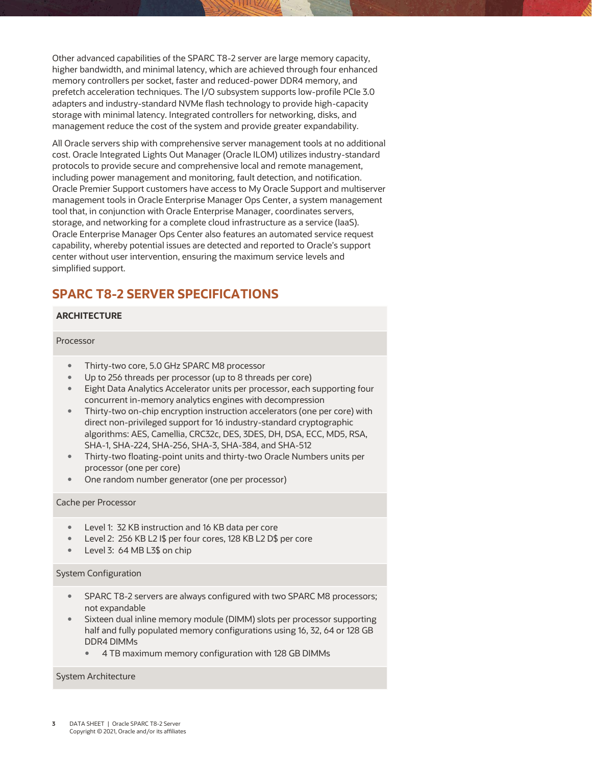Other advanced capabilities of the SPARC T8-2 server are large memory capacity, higher bandwidth, and minimal latency, which are achieved through four enhanced memory controllers per socket, faster and reduced-power DDR4 memory, and prefetch acceleration techniques. The I/O subsystem supports low-profile PCIe 3.0 adapters and industry-standard NVMe flash technology to provide high-capacity storage with minimal latency. Integrated controllers for networking, disks, and management reduce the cost of the system and provide greater expandability.

All Oracle servers ship with comprehensive server management tools at no additional cost. Oracle Integrated Lights Out Manager (Oracle ILOM) utilizes industry-standard protocols to provide secure and comprehensive local and remote management, including power management and monitoring, fault detection, and notification. Oracle Premier Support customers have access to My Oracle Support and multiserver management tools in Oracle Enterprise Manager Ops Center, a system management tool that, in conjunction with Oracle Enterprise Manager, coordinates servers, storage, and networking for a complete cloud infrastructure as a service (IaaS). Oracle Enterprise Manager Ops Center also features an automated service request capability, whereby potential issues are detected and reported to Oracle's support center without user intervention, ensuring the maximum service levels and simplified support.

## **SPARC T8-2 SERVER SPECIFICATIONS**

#### **ARCHITECTURE**

#### Processor

- Thirty-two core, 5.0 GHz SPARC M8 processor
- Up to 256 threads per processor (up to 8 threads per core)
- Eight Data Analytics Accelerator units per processor, each supporting four concurrent in-memory analytics engines with decompression
- Thirty-two on-chip encryption instruction accelerators (one per core) with direct non-privileged support for 16 industry-standard cryptographic algorithms: AES, Camellia, CRC32c, DES, 3DES, DH, DSA, ECC, MD5, RSA, SHA-1, SHA-224, SHA-256, SHA-3, SHA-384, and SHA-512
- Thirty-two floating-point units and thirty-two Oracle Numbers units per processor (one per core)
- One random number generator (one per processor)

#### Cache per Processor

- Level 1: 32 KB instruction and 16 KB data per core
- Level 2: 256 KB L2 I\$ per four cores, 128 KB L2 D\$ per core
- Level 3: 64 MB L3\$ on chip

#### System Configuration

- SPARC T8-2 servers are always configured with two SPARC M8 processors; not expandable
- Sixteen dual inline memory module (DIMM) slots per processor supporting half and fully populated memory configurations using 16, 32, 64 or 128 GB DDR4 DIMMs
	- 4 TB maximum memory configuration with 128 GB DIMMs

#### System Architecture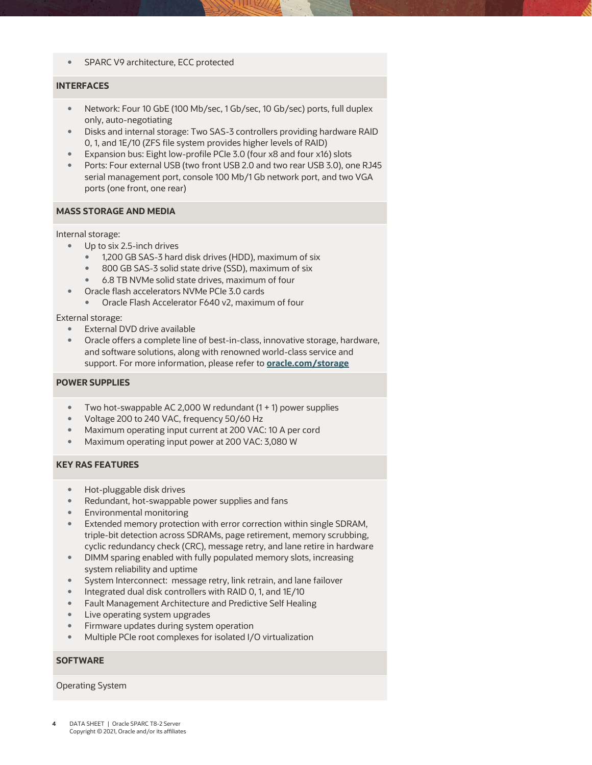• SPARC V9 architecture, ECC protected

#### **INTERFACES**

- Network: Four 10 GbE (100 Mb/sec, 1 Gb/sec, 10 Gb/sec) ports, full duplex only, auto-negotiating
- Disks and internal storage: Two SAS-3 controllers providing hardware RAID 0, 1, and 1E/10 (ZFS file system provides higher levels of RAID)
- Expansion bus: Eight low-profile PCIe 3.0 (four x8 and four x16) slots
- Ports: Four external USB (two front USB 2.0 and two rear USB 3.0), one RJ45 serial management port, console 100 Mb/1 Gb network port, and two VGA ports (one front, one rear)

#### **MASS STORAGE AND MEDIA**

Internal storage:

- Up to six 2.5-inch drives
	- 1,200 GB SAS-3 hard disk drives (HDD), maximum of six
	- 800 GB SAS-3 solid state drive (SSD), maximum of six
	- 6.8 TB NVMe solid state drives, maximum of four
- Oracle flash accelerators NVMe PCIe 3.0 cards
	- Oracle Flash Accelerator F640 v2, maximum of four

External storage:

- External DVD drive available
- Oracle offers a complete line of best-in-class, innovative storage, hardware, and software solutions, along with renowned world-class service and support. For more information, please refer to **[oracle.com/storage](http://www.oracle.com/storage)**

#### **POWER SUPPLIES**

- Two hot-swappable AC 2,000 W redundant  $(1 + 1)$  power supplies
- Voltage 200 to 240 VAC, frequency 50/60 Hz
- Maximum operating input current at 200 VAC: 10 A per cord
- Maximum operating input power at 200 VAC: 3,080 W

#### **KEY RAS FEATURES**

- Hot-pluggable disk drives
- Redundant, hot-swappable power supplies and fans
- Environmental monitoring
- Extended memory protection with error correction within single SDRAM, triple-bit detection across SDRAMs, page retirement, memory scrubbing, cyclic redundancy check (CRC), message retry, and lane retire in hardware
- DIMM sparing enabled with fully populated memory slots, increasing system reliability and uptime
- System Interconnect: message retry, link retrain, and lane failover
- Integrated dual disk controllers with RAID 0, 1, and 1E/10
- Fault Management Architecture and Predictive Self Healing
- Live operating system upgrades
- Firmware updates during system operation
- Multiple PCIe root complexes for isolated I/O virtualization

#### **SOFTWARE**

#### Operating System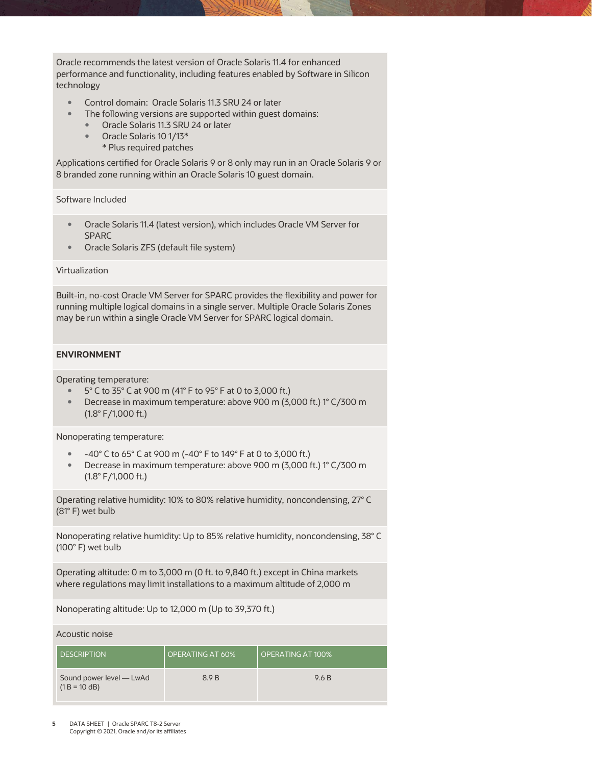Oracle recommends the latest version of Oracle Solaris 11.4 for enhanced performance and functionality, including features enabled by Software in Silicon technology

- Control domain: Oracle Solaris 11.3 SRU 24 or later
- The following versions are supported within guest domains:
	- **Canadia 11.3 SRU 24 or later**
	- Oracle Solaris 10 1/13\*
		- \* Plus required patches

Applications certified for Oracle Solaris 9 or 8 only may run in an Oracle Solaris 9 or 8 branded zone running within an Oracle Solaris 10 guest domain.

#### Software Included

- Oracle Solaris 11.4 (latest version), which includes Oracle VM Server for SPARC
- Oracle Solaris ZFS (default file system)

#### Virtualization

Built-in, no-cost Oracle VM Server for SPARC provides the flexibility and power for running multiple logical domains in a single server. Multiple Oracle Solaris Zones may be run within a single Oracle VM Server for SPARC logical domain.

#### **ENVIRONMENT**

Operating temperature:

- 5° C to 35° C at 900 m (41° F to 95° F at 0 to 3,000 ft.)
- Decrease in maximum temperature: above 900 m (3,000 ft.) 1° C/300 m (1.8° F/1,000 ft.)

Nonoperating temperature:

- -40° C to 65° C at 900 m (-40° F to 149° F at 0 to 3,000 ft.)
- Decrease in maximum temperature: above 900 m (3,000 ft.) 1° C/300 m (1.8° F/1,000 ft.)

Operating relative humidity: 10% to 80% relative humidity, noncondensing, 27° C (81° F) wet bulb

Nonoperating relative humidity: Up to 85% relative humidity, noncondensing, 38° C (100° F) wet bulb

Operating altitude: 0 m to 3,000 m (0 ft. to 9,840 ft.) except in China markets where regulations may limit installations to a maximum altitude of 2,000 m

Nonoperating altitude: Up to 12,000 m (Up to 39,370 ft.)

Acoustic noise

| <b>DESCRIPTION</b>                          | OPERATING AT 60% | OPERATING AT 100% |
|---------------------------------------------|------------------|-------------------|
| Sound power level - LwAd<br>$(1 B = 10 dB)$ | 8.9 B            | 9.6 B             |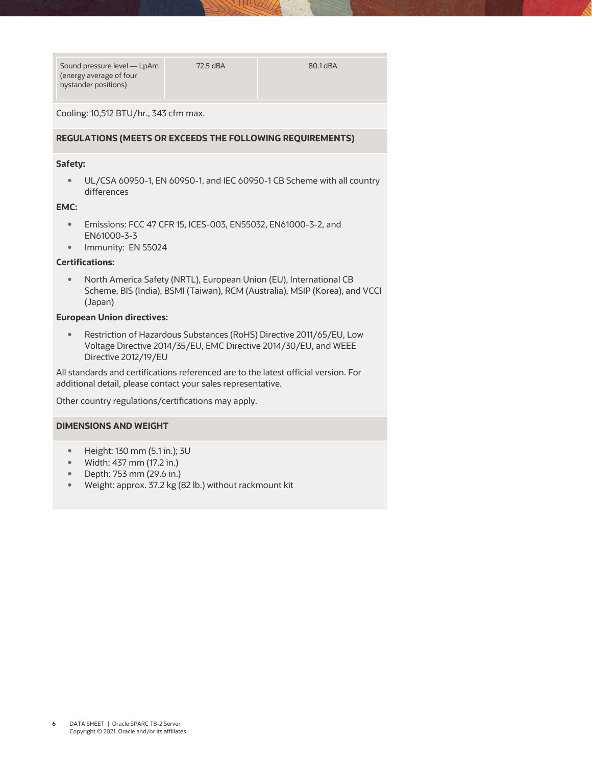| Sound pressure level — LpAm |  |
|-----------------------------|--|
| (energy average of four     |  |
| bystander positions)        |  |

Cooling: 10,512 BTU/hr., 343 cfm max.

#### **REGULATIONS (MEETS OR EXCEEDS THE FOLLOWING REQUIREMENTS)**

#### **Safety:**

 UL/CSA 60950-1, EN 60950-1, and IEC 60950-1 CB Scheme with all country differences

#### **EMC:**

- Emissions: FCC 47 CFR 15, ICES-003, EN55032, EN61000-3-2, and EN61000-3-3
- Immunity: EN 55024

#### **Certifications:**

 North America Safety (NRTL), European Union (EU), International CB Scheme, BIS (India), BSMI (Taiwan), RCM (Australia), MSIP (Korea), and VCCI (Japan)

#### **European Union directives:**

 Restriction of Hazardous Substances (RoHS) Directive 2011/65/EU, Low Voltage Directive 2014/35/EU, EMC Directive 2014/30/EU, and WEEE Directive 2012/19/EU

All standards and certifications referenced are to the latest official version. For additional detail, please contact your sales representative.

Other country regulations/certifications may apply.

#### **DIMENSIONS AND WEIGHT**

- Height: 130 mm (5.1 in.); 3U
- Width: 437 mm (17.2 in.)
- Depth: 753 mm (29.6 in.)
- Weight: approx. 37.2 kg (82 lb.) without rackmount kit